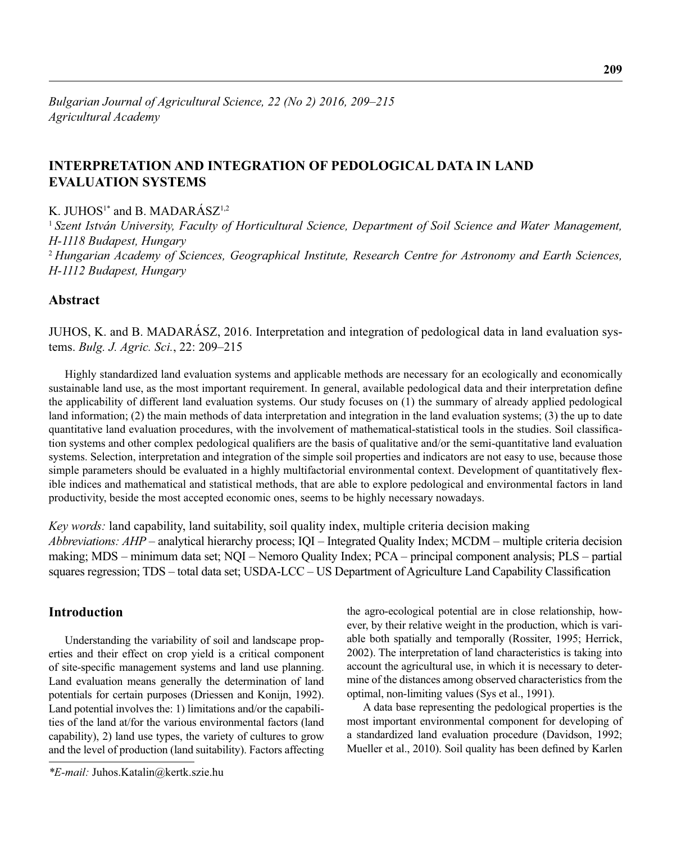# **INTERPRETATION AND INTEGRATION OF PEDOLOGICAL DATA IN LAND EVALUATION SYSTEMS**

K.  $I U H O S<sup>1*</sup>$  and B. MADARÁSZ<sup>1,2</sup>

<sup>1</sup>*Szent István University, Faculty of Horticultural Science, Department of Soil Science and Water Management, H-1118 Budapest, Hungary* <sup>2</sup>*Hungarian Academy of Sciences, Geographical Institute, Research Centre for Astronomy and Earth Sciences, H-1112 Budapest, Hungary*

## **Abstract**

JUHOS, K. and B. MADARÁSZ, 2016. Interpretation and integration of pedological data in land evaluation systems. *Bulg. J. Agric. Sci.*, 22: 209–215

Highly standardized land evaluation systems and applicable methods are necessary for an ecologically and economically sustainable land use, as the most important requirement. In general, available pedological data and their interpretation define the applicability of different land evaluation systems. Our study focuses on (1) the summary of already applied pedological land information; (2) the main methods of data interpretation and integration in the land evaluation systems; (3) the up to date quantitative land evaluation procedures, with the involvement of mathematical-statistical tools in the studies. Soil classification systems and other complex pedological qualifiers are the basis of qualitative and/or the semi-quantitative land evaluation systems. Selection, interpretation and integration of the simple soil properties and indicators are not easy to use, because those simple parameters should be evaluated in a highly multifactorial environmental context. Development of quantitatively flexible indices and mathematical and statistical methods, that are able to explore pedological and environmental factors in land productivity, beside the most accepted economic ones, seems to be highly necessary nowadays.

*Key words:* land capability, land suitability, soil quality index, multiple criteria decision making *Abbreviations: AHP* – analytical hierarchy process; IQI – Integrated Quality Index; MCDM – multiple criteria decision making; MDS – minimum data set; NQI – Nemoro Quality Index; PCA – principal component analysis; PLS – partial squares regression;  $TDS - total$  data set;  $USDA-LCC - US Department of Agriculture Land Capability Classification$ 

# **Introduction**

Understanding the variability of soil and landscape properties and their effect on crop yield is a critical component of site-specific management systems and land use planning. Land evaluation means generally the determination of land potentials for certain purposes (Driessen and Konijn, 1992). Land potential involves the: 1) limitations and/or the capabilities of the land at/for the various environmental factors (land capability), 2) land use types, the variety of cultures to grow and the level of production (land suitability). Factors affecting

the agro-ecological potential are in close relationship, however, by their relative weight in the production, which is variable both spatially and temporally (Rossiter, 1995; Herrick, 2002). The interpretation of land characteristics is taking into account the agricultural use, in which it is necessary to determine of the distances among observed characteristics from the optimal, non-limiting values (Sys et al., 1991).

A data base representing the pedological properties is the most important environmental component for developing of a standardized land evaluation procedure (Davidson, 1992; Mueller et al., 2010). Soil quality has been defined by Karlen

*<sup>\*</sup>E-mail:* Juhos.Katalin@kertk.szie.hu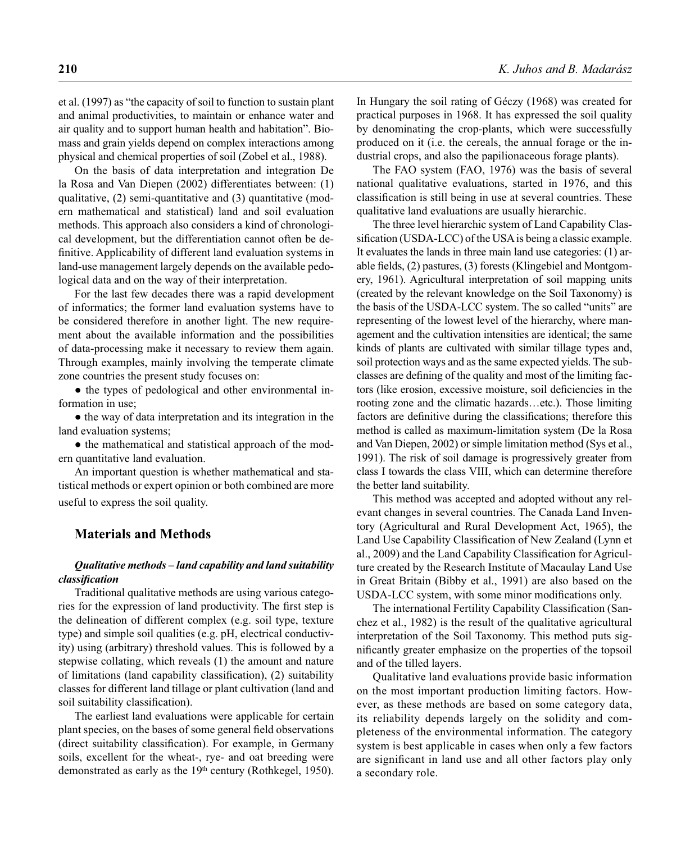et al. (1997) as "the capacity of soil to function to sustain plant and animal productivities, to maintain or enhance water and air quality and to support human health and habitation". Biomass and grain yields depend on complex interactions among physical and chemical properties of soil (Zobel et al., 1988).

On the basis of data interpretation and integration De la Rosa and Van Diepen (2002) differentiates between: (1) qualitative, (2) semi-quantitative and (3) quantitative (modern mathematical and statistical) land and soil evaluation methods. This approach also considers a kind of chronological development, but the differentiation cannot often be definitive. Applicability of different land evaluation systems in land-use management largely depends on the available pedological data and on the way of their interpretation.

For the last few decades there was a rapid development of informatics; the former land evaluation systems have to be considered therefore in another light. The new requirement about the available information and the possibilities of data-processing make it necessary to review them again. Through examples, mainly involving the temperate climate zone countries the present study focuses on:

• the types of pedological and other environmental information in use;

• the way of data interpretation and its integration in the land evaluation systems;

• the mathematical and statistical approach of the modern quantitative land evaluation.

An important question is whether mathematical and statistical methods or expert opinion or both combined are more useful to express the soil quality.

## **Materials and Methods**

### *Qualitative methods – land capability and land suitability classifi cation*

Traditional qualitative methods are using various categories for the expression of land productivity. The first step is the delineation of different complex (e.g. soil type, texture type) and simple soil qualities (e.g. pH, electrical conductivity) using (arbitrary) threshold values. This is followed by a stepwise collating, which reveals (1) the amount and nature of limitations (land capability classification), (2) suitability classes for different land tillage or plant cultivation (land and soil suitability classification).

The earliest land evaluations were applicable for certain plant species, on the bases of some general field observations (direct suitability classification). For example, in Germany soils, excellent for the wheat-, rye- and oat breeding were demonstrated as early as the  $19<sup>th</sup>$  century (Rothkegel, 1950).

In Hungary the soil rating of Géczy (1968) was created for practical purposes in 1968. It has expressed the soil quality by denominating the crop-plants, which were successfully produced on it (i.e. the cereals, the annual forage or the industrial crops, and also the papilionaceous forage plants).

The FAO system (FAO, 1976) was the basis of several national qualitative evaluations, started in 1976, and this classification is still being in use at several countries. These qualitative land evaluations are usually hierarchic.

The three level hierarchic system of Land Capability Classification (USDA-LCC) of the USA is being a classic example. It evaluates the lands in three main land use categories: (1) arable fields, (2) pastures, (3) forests (Klingebiel and Montgomery, 1961). Agricultural interpretation of soil mapping units (created by the relevant knowledge on the Soil Taxonomy) is the basis of the USDA-LCC system. The so called "units" are representing of the lowest level of the hierarchy, where management and the cultivation intensities are identical; the same kinds of plants are cultivated with similar tillage types and, soil protection ways and as the same expected yields. The subclasses are defining of the quality and most of the limiting factors (like erosion, excessive moisture, soil deficiencies in the rooting zone and the climatic hazards…etc.). Those limiting factors are definitive during the classifications; therefore this method is called as maximum-limitation system (De la Rosa and Van Diepen, 2002) or simple limitation method (Sys et al., 1991). The risk of soil damage is progressively greater from class I towards the class VIII, which can determine therefore the better land suitability.

This method was accepted and adopted without any relevant changes in several countries. The Canada Land Inventory (Agricultural and Rural Development Act, 1965), the Land Use Capability Classification of New Zealand (Lynn et al., 2009) and the Land Capability Classification for Agriculture created by the Research Institute of Macaulay Land Use in Great Britain (Bibby et al., 1991) are also based on the USDA-LCC system, with some minor modifications only.

The international Fertility Capability Classification (Sanchez et al., 1982) is the result of the qualitative agricultural interpretation of the Soil Taxonomy. This method puts significantly greater emphasize on the properties of the topsoil and of the tilled layers.

Qualitative land evaluations provide basic information on the most important production limiting factors. However, as these methods are based on some category data, its reliability depends largely on the solidity and completeness of the environmental information. The category system is best applicable in cases when only a few factors are significant in land use and all other factors play only a secondary role.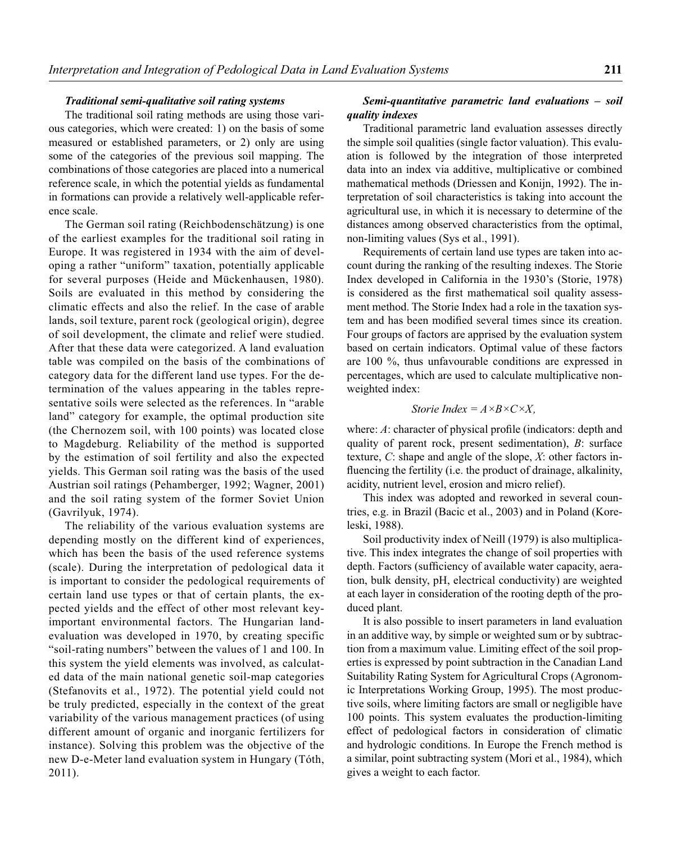#### *Traditional semi-qualitative soil rating systems*

The traditional soil rating methods are using those various categories, which were created: 1) on the basis of some measured or established parameters, or 2) only are using some of the categories of the previous soil mapping. The combinations of those categories are placed into a numerical reference scale, in which the potential yields as fundamental in formations can provide a relatively well-applicable reference scale.

The German soil rating (Reichbodenschätzung) is one of the earliest examples for the traditional soil rating in Europe. It was registered in 1934 with the aim of developing a rather "uniform" taxation, potentially applicable for several purposes (Heide and Mückenhausen, 1980). Soils are evaluated in this method by considering the climatic effects and also the relief. In the case of arable lands, soil texture, parent rock (geological origin), degree of soil development, the climate and relief were studied. After that these data were categorized. A land evaluation table was compiled on the basis of the combinations of category data for the different land use types. For the determination of the values appearing in the tables representative soils were selected as the references. In "arable land" category for example, the optimal production site (the Chernozem soil, with 100 points) was located close to Magdeburg. Reliability of the method is supported by the estimation of soil fertility and also the expected yields. This German soil rating was the basis of the used Austrian soil ratings (Pehamberger, 1992; Wagner, 2001) and the soil rating system of the former Soviet Union (Gavrilyuk, 1974).

The reliability of the various evaluation systems are depending mostly on the different kind of experiences, which has been the basis of the used reference systems (scale). During the interpretation of pedological data it is important to consider the pedological requirements of certain land use types or that of certain plants, the expected yields and the effect of other most relevant keyimportant environmental factors. The Hungarian landevaluation was developed in 1970, by creating specific "soil-rating numbers" between the values of 1 and 100. In this system the yield elements was involved, as calculated data of the main national genetic soil-map categories (Stefanovits et al., 1972). The potential yield could not be truly predicted, especially in the context of the great variability of the various management practices (of using different amount of organic and inorganic fertilizers for instance). Solving this problem was the objective of the new D-e-Meter land evaluation system in Hungary (Tóth, 2011).

## *Semi-quantitative parametric land evaluations – soil quality indexes*

Traditional parametric land evaluation assesses directly the simple soil qualities (single factor valuation). This evaluation is followed by the integration of those interpreted data into an index via additive, multiplicative or combined mathematical methods (Driessen and Konijn, 1992). The interpretation of soil characteristics is taking into account the agricultural use, in which it is necessary to determine of the distances among observed characteristics from the optimal, non-limiting values (Sys et al., 1991).

Requirements of certain land use types are taken into account during the ranking of the resulting indexes. The Storie Index developed in California in the 1930's (Storie, 1978) is considered as the first mathematical soil quality assessment method. The Storie Index had a role in the taxation system and has been modified several times since its creation. Four groups of factors are apprised by the evaluation system based on certain indicators. Optimal value of these factors are 100 %, thus unfavourable conditions are expressed in percentages, which are used to calculate multiplicative nonweighted index:

*Store Index* = 
$$
A \times B \times C \times X
$$
,

where: *A*: character of physical profile (indicators: depth and quality of parent rock, present sedimentation), *B*: surface texture, *C*: shape and angle of the slope, *X*: other factors influencing the fertility (i.e. the product of drainage, alkalinity, acidity, nutrient level, erosion and micro relief).

This index was adopted and reworked in several countries, e.g. in Brazil (Bacic et al., 2003) and in Poland (Koreleski, 1988).

Soil productivity index of Neill (1979) is also multiplicative. This index integrates the change of soil properties with depth. Factors (sufficiency of available water capacity, aeration, bulk density, pH, electrical conductivity) are weighted at each layer in consideration of the rooting depth of the produced plant.

It is also possible to insert parameters in land evaluation in an additive way, by simple or weighted sum or by subtraction from a maximum value. Limiting effect of the soil properties is expressed by point subtraction in the Canadian Land Suitability Rating System for Agricultural Crops (Agronomic Interpretations Working Group, 1995). The most productive soils, where limiting factors are small or negligible have 100 points. This system evaluates the production-limiting effect of pedological factors in consideration of climatic and hydrologic conditions. In Europe the French method is a similar, point subtracting system (Mori et al., 1984), which gives a weight to each factor.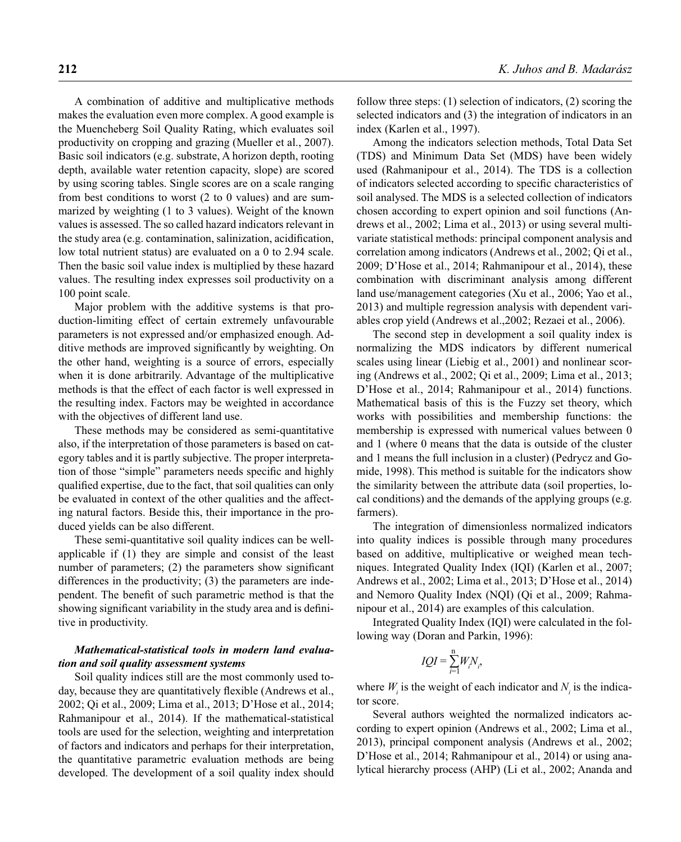A combination of additive and multiplicative methods makes the evaluation even more complex. A good example is the Muencheberg Soil Quality Rating, which evaluates soil productivity on cropping and grazing (Mueller et al., 2007). Basic soil indicators (e.g. substrate, A horizon depth, rooting depth, available water retention capacity, slope) are scored by using scoring tables. Single scores are on a scale ranging from best conditions to worst (2 to 0 values) and are summarized by weighting (1 to 3 values). Weight of the known values is assessed. The so called hazard indicators relevant in the study area (e.g. contamination, salinization, acidification, low total nutrient status) are evaluated on a 0 to 2.94 scale. Then the basic soil value index is multiplied by these hazard values. The resulting index expresses soil productivity on a 100 point scale.

Major problem with the additive systems is that production-limiting effect of certain extremely unfavourable parameters is not expressed and/or emphasized enough. Additive methods are improved significantly by weighting. On the other hand, weighting is a source of errors, especially when it is done arbitrarily. Advantage of the multiplicative methods is that the effect of each factor is well expressed in the resulting index. Factors may be weighted in accordance with the objectives of different land use.

These methods may be considered as semi-quantitative also, if the interpretation of those parameters is based on category tables and it is partly subjective. The proper interpretation of those "simple" parameters needs specific and highly qualified expertise, due to the fact, that soil qualities can only be evaluated in context of the other qualities and the affecting natural factors. Beside this, their importance in the produced yields can be also different.

These semi-quantitative soil quality indices can be wellapplicable if (1) they are simple and consist of the least number of parameters;  $(2)$  the parameters show significant differences in the productivity; (3) the parameters are independent. The benefit of such parametric method is that the showing significant variability in the study area and is definitive in productivity.

## *Mathematical-statistical tools in modern land evaluation and soil quality assessment systems*

Soil quality indices still are the most commonly used today, because they are quantitatively flexible (Andrews et al., 2002; Qi et al., 2009; Lima et al., 2013; D'Hose et al., 2014; Rahmanipour et al., 2014). If the mathematical-statistical tools are used for the selection, weighting and interpretation of factors and indicators and perhaps for their interpretation, the quantitative parametric evaluation methods are being developed. The development of a soil quality index should follow three steps: (1) selection of indicators, (2) scoring the selected indicators and (3) the integration of indicators in an index (Karlen et al., 1997).

Among the indicators selection methods, Total Data Set (TDS) and Minimum Data Set (MDS) have been widely used (Rahmanipour et al., 2014). The TDS is a collection of indicators selected according to specific characteristics of soil analysed. The MDS is a selected collection of indicators chosen according to expert opinion and soil functions (Andrews et al., 2002; Lima et al., 2013) or using several multivariate statistical methods: principal component analysis and correlation among indicators (Andrews et al., 2002; Qi et al., 2009; D'Hose et al., 2014; Rahmanipour et al., 2014), these combination with discriminant analysis among different land use/management categories (Xu et al., 2006; Yao et al., 2013) and multiple regression analysis with dependent variables crop yield (Andrews et al.,2002; Rezaei et al., 2006).

The second step in development a soil quality index is normalizing the MDS indicators by different numerical scales using linear (Liebig et al., 2001) and nonlinear scoring (Andrews et al., 2002; Qi et al., 2009; Lima et al., 2013; D'Hose et al., 2014; Rahmanipour et al., 2014) functions. Mathematical basis of this is the Fuzzy set theory, which works with possibilities and membership functions: the membership is expressed with numerical values between 0 and 1 (where 0 means that the data is outside of the cluster and 1 means the full inclusion in a cluster) (Pedrycz and Gomide, 1998). This method is suitable for the indicators show the similarity between the attribute data (soil properties, local conditions) and the demands of the applying groups (e.g. farmers).

The integration of dimensionless normalized indicators into quality indices is possible through many procedures based on additive, multiplicative or weighed mean techniques. Integrated Quality Index (IQI) (Karlen et al., 2007; Andrews et al., 2002; Lima et al., 2013; D'Hose et al., 2014) and Nemoro Quality Index (NQI) (Qi et al., 2009; Rahmanipour et al., 2014) are examples of this calculation.

Integrated Quality Index (IQI) were calculated in the following way (Doran and Parkin, 1996):

$$
IQI = \sum_{i=1}^{n} W_i N_i,
$$

where  $W_i$  is the weight of each indicator and  $N_i$  is the indicator score.

Several authors weighted the normalized indicators according to expert opinion (Andrews et al., 2002; Lima et al., 2013), principal component analysis (Andrews et al., 2002; D'Hose et al., 2014; Rahmanipour et al., 2014) or using analytical hierarchy process (AHP) (Li et al., 2002; Ananda and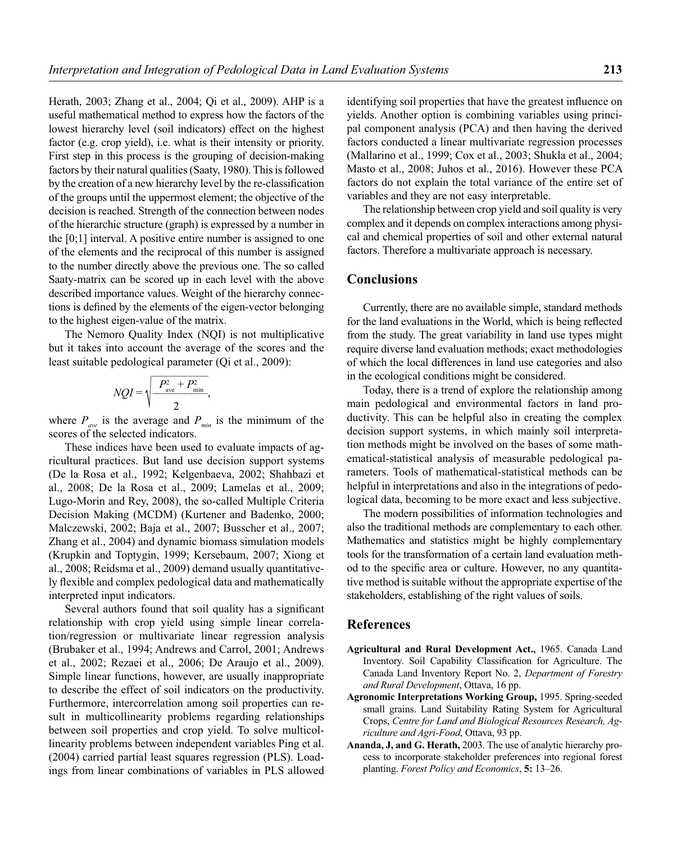Herath, 2003; Zhang et al., 2004; Qi et al., 2009). AHP is a useful mathematical method to express how the factors of the lowest hierarchy level (soil indicators) effect on the highest factor (e.g. crop yield), i.e. what is their intensity or priority. First step in this process is the grouping of decision-making factors by their natural qualities (Saaty, 1980). This is followed by the creation of a new hierarchy level by the re-classification of the groups until the uppermost element; the objective of the decision is reached. Strength of the connection between nodes of the hierarchic structure (graph) is expressed by a number in the [0;1] interval. A positive entire number is assigned to one of the elements and the reciprocal of this number is assigned to the number directly above the previous one. The so called Saaty-matrix can be scored up in each level with the above described importance values. Weight of the hierarchy connections is defined by the elements of the eigen-vector belonging to the highest eigen-value of the matrix.

The Nemoro Quality Index (NQI) is not multiplicative but it takes into account the average of the scores and the least suitable pedological parameter (Qi et al., 2009):

$$
NQI = \sqrt{\frac{P_{\text{ave}}^2 + P_{\text{min}}^2}{2}},
$$

where  $P_{ave}$  is the average and  $P_{min}$  is the minimum of the scores of the selected indicators.

These indices have been used to evaluate impacts of agricultural practices. But land use decision support systems (De la Rosa et al., 1992; Kelgenbaeva, 2002; Shahbazi et al., 2008; De la Rosa et al., 2009; Lamelas et al., 2009; Lugo-Morin and Rey, 2008), the so-called Multiple Criteria Decision Making (MCDM) (Kurtener and Badenko, 2000; Malczewski, 2002; Baja et al., 2007; Busscher et al., 2007; Zhang et al., 2004) and dynamic biomass simulation models (Krupkin and Toptygin, 1999; Kersebaum, 2007; Xiong et al., 2008; Reidsma et al., 2009) demand usually quantitatively flexible and complex pedological data and mathematically interpreted input indicators.

Several authors found that soil quality has a significant relationship with crop yield using simple linear correlation/regression or multivariate linear regression analysis (Brubaker et al., 1994; Andrews and Carrol, 2001; Andrews et al., 2002; Rezaei et al., 2006; De Araujo et al., 2009). Simple linear functions, however, are usually inappropriate to describe the effect of soil indicators on the productivity. Furthermore, intercorrelation among soil properties can result in multicollinearity problems regarding relationships between soil properties and crop yield. To solve multicollinearity problems between independent variables Ping et al. (2004) carried partial least squares regression (PLS). Loadings from linear combinations of variables in PLS allowed identifying soil properties that have the greatest influence on yields. Another option is combining variables using principal component analysis (PCA) and then having the derived factors conducted a linear multivariate regression processes (Mallarino et al., 1999; Cox et al., 2003; Shukla et al., 2004; Masto et al., 2008; Juhos et al., 2016). However these PCA factors do not explain the total variance of the entire set of variables and they are not easy interpretable.

The relationship between crop yield and soil quality is very complex and it depends on complex interactions among physical and chemical properties of soil and other external natural factors. Therefore a multivariate approach is necessary.

## **Conclusions**

Currently, there are no available simple, standard methods for the land evaluations in the World, which is being reflected from the study. The great variability in land use types might require diverse land evaluation methods; exact methodologies of which the local differences in land use categories and also in the ecological conditions might be considered.

Today, there is a trend of explore the relationship among main pedological and environmental factors in land productivity. This can be helpful also in creating the complex decision support systems, in which mainly soil interpretation methods might be involved on the bases of some mathematical-statistical analysis of measurable pedological parameters. Tools of mathematical-statistical methods can be helpful in interpretations and also in the integrations of pedological data, becoming to be more exact and less subjective.

The modern possibilities of information technologies and also the traditional methods are complementary to each other. Mathematics and statistics might be highly complementary tools for the transformation of a certain land evaluation method to the specific area or culture. However, no any quantitative method is suitable without the appropriate expertise of the stakeholders, establishing of the right values of soils.

#### **References**

- **Agricultural and Rural Development Act.,** 1965. Canada Land Inventory. Soil Capability Classification for Agriculture. The Canada Land Inventory Report No. 2, *Department of Forestry and Rural Development*, Ottava, 16 pp.
- **Agronomic Interpretations Working Group,** 1995. Spring-seeded small grains. Land Suitability Rating System for Agricultural Crops, *Centre for Land and Biological Resources Research, Agriculture and Agri-Food*, Ottava, 93 pp.
- **Ananda, J, and G. Herath,** 2003. The use of analytic hierarchy process to incorporate stakeholder preferences into regional forest planting. *Forest Policy and Economics*, **5:** 13–26.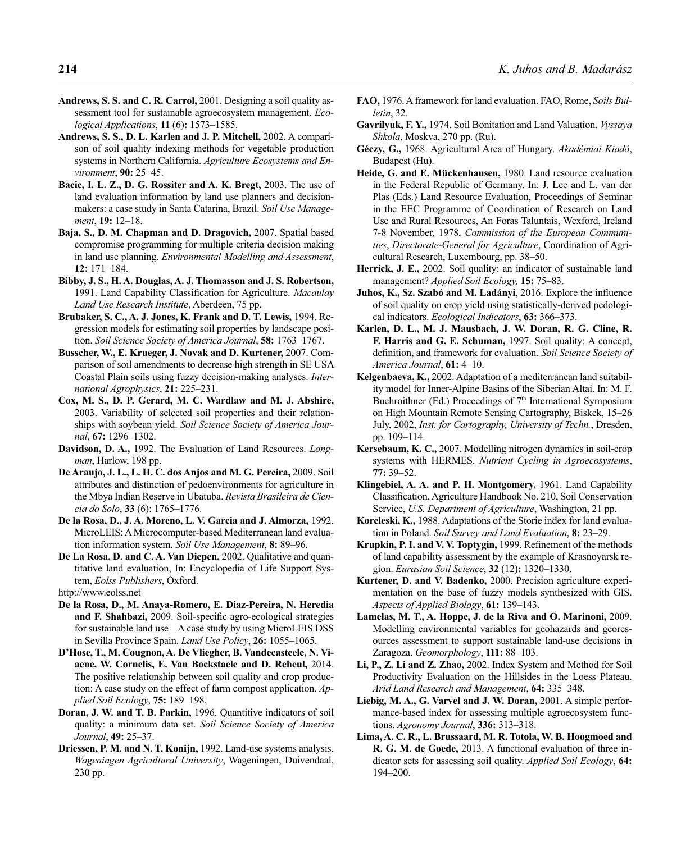- **Andrews, S. S. and C. R. Carrol,** 2001. Designing a soil quality assessment tool for sustainable agroecosystem management. *Ecological Applications*, **11** (6)**:** 1573–1585.
- **Andrews, S. S., D. L. Karlen and J. P. Mitchell,** 2002. A comparison of soil quality indexing methods for vegetable production systems in Northern California. *Agriculture Ecosystems and Environment*, **90:** 25–45.
- **Bacic, I. L. Z., D. G. Rossiter and A. K. Bregt,** 2003. The use of land evaluation information by land use planners and decisionmakers: a case study in Santa Catarina, Brazil. *Soil Use Management*, **19:** 12–18.
- **Baja, S., D. M. Chapman and D. Dragovich,** 2007. Spatial based compromise programming for multiple criteria decision making in land use planning. *Environmental Modelling and Assessment*, **12:** 171–184.
- **Bibby, J. S., H. A. Douglas, A. J. Thomasson and J. S. Robertson,** 1991. Land Capability Classification for Agriculture. *Macaulay Land Use Research Institute*, Aberdeen, 75 pp.
- **Brubaker, S. C., A. J. Jones, K. Frank and D. T. Lewis,** 1994. Regression models for estimating soil properties by landscape position. *Soil Science Society of America Journal*, **58:** 1763–1767.
- **Busscher, W., E. Krueger, J. Novak and D. Kurtener,** 2007. Comparison of soil amendments to decrease high strength in SE USA Coastal Plain soils using fuzzy decision-making analyses. *International Agrophysics*, **21:** 225–231.
- **Cox, M. S., D. P. Gerard, M. C. Wardlaw and M. J. Abshire,** 2003. Variability of selected soil properties and their relationships with soybean yield. *Soil Science Society of America Journal*, **67:** 1296–1302.
- **Davidson, D. A.,** 1992. The Evaluation of Land Resources. *Longman*, Harlow, 198 pp.
- **De Araujo, J. L., L. H. C. dos Anjos and M. G. Pereira,** 2009. Soil attributes and distinction of pedoenvironments for agriculture in the Mbya Indian Reserve in Ubatuba. *Revista Brasileira de Ciencia do Solo*, **33** (6): 1765–1776.
- **De la Rosa, D., J. A. Moreno, L. V. Garcia and J. Almorza,** 1992. MicroLEIS: A Microcomputer-based Mediterranean land evaluation information system. *Soil Use Management*, **8:** 89–96.
- **De La Rosa, D. and C. A. Van Diepen,** 2002. Qualitative and quantitative land evaluation, In: Encyclopedia of Life Support System, *Eolss Publishers*, Oxford.
- http://www.eolss.net
- **De la Rosa, D., M. Anaya-Romero, E. Diaz-Pereira, N. Heredia**  and F. Shahbazi, 2009. Soil-specific agro-ecological strategies for sustainable land use – A case study by using MicroLEIS DSS in Sevilla Province Spain. *Land Use Policy*, **26:** 1055–1065.
- **D'Hose, T., M. Cougnon, A. De Vliegher, B. Vandecasteele, N. Viaene, W. Cornelis, E. Van Bockstaele and D. Reheul,** 2014. The positive relationship between soil quality and crop production: A case study on the effect of farm compost application. *Applied Soil Ecology*, **75:** 189–198.
- **Doran, J. W. and T. B. Parkin,** 1996. Quantitive indicators of soil quality: a minimum data set. *Soil Science Society of America Journal*, **49:** 25–37.
- **Driessen, P. M. and N. T. Konijn,** 1992. Land-use systems analysis. *Wageningen Agricultural University*, Wageningen, Duivendaal, 230 pp.
- **FAO,** 1976. A framework for land evaluation. FAO, Rome, *Soils Bulletin*, 32.
- **Gavrilyuk, F. Y.,** 1974. Soil Bonitation and Land Valuation. *Vyssaya Shkola*, Moskva, 270 pp. (Ru).
- **Géczy, G.,** 1968. Agricultural Area of Hungary. *Akadémiai Kiadó*, Budapest (Hu).
- **Heide, G. and E. Mückenhausen,** 1980. Land resource evaluation in the Federal Republic of Germany. In: J. Lee and L. van der Plas (Eds.) Land Resource Evaluation, Proceedings of Seminar in the EEC Programme of Coordination of Research on Land Use and Rural Resources, An Foras Taluntais, Wexford, Ireland 7-8 November, 1978, *Commission of the European Communities*, *Directorate-General for Agriculture*, Coordination of Agricultural Research, Luxembourg, pp. 38–50.
- **Herrick, J. E.,** 2002. Soil quality: an indicator of sustainable land management? *Applied Soil Ecology,* **15:** 75–83.
- Juhos, K., Sz. Szabó and M. Ladányi, 2016. Explore the influence of soil quality on crop yield using statistically-derived pedological indicators. *Ecological Indicators*, **63:** 366–373.
- **Karlen, D. L., M. J. Mausbach, J. W. Doran, R. G. Cline, R. F. Harris and G. E. Schuman,** 1997. Soil quality: A concept, definition, and framework for evaluation. *Soil Science Society of America Journal*, **61:** 4–10.
- **Kelgenbaeva, K.,** 2002. Adaptation of a mediterranean land suitability model for Inner-Alpine Basins of the Siberian Altai. In: M. F. Buchroithner (Ed.) Proceedings of  $7<sup>th</sup>$  International Symposium on High Mountain Remote Sensing Cartography, Biskek, 15–26 July, 2002, *Inst. for Cartography, University of Techn.*, Dresden, pp. 109–114.
- **Kersebaum, K. C.,** 2007. Modelling nitrogen dynamics in soil-crop systems with HERMES. *Nutrient Cycling in Agroecosystems*, **77:** 39–52.
- **Klingebiel, A. A. and P. H. Montgomery,** 1961. Land Capability Classification, Agriculture Handbook No. 210, Soil Conservation Service, *U.S. Department of Agriculture*, Washington, 21 pp.
- **Koreleski, K.,** 1988. Adaptations of the Storie index for land evaluation in Poland. *Soil Survey and Land Evaluation*, **8:** 23–29.
- Krupkin, P. I. and V. V. Toptygin, 1999. Refinement of the methods of land capability assessment by the example of Krasnoyarsk region. *Eurasian Soil Science*, **32** (12)**:** 1320–1330.
- **Kurtener, D. and V. Badenko,** 2000. Precision agriculture experimentation on the base of fuzzy models synthesized with GIS. *Aspects of Applied Biology*, **61:** 139–143.
- **Lamelas, M. T., A. Hoppe, J. de la Riva and O. Marinoni,** 2009. Modelling environmental variables for geohazards and georesources assessment to support sustainable land-use decisions in Zaragoza. *Geomorphology*, **111:** 88–103.
- **Li, P., Z. Li and Z. Zhao,** 2002. Index System and Method for Soil Productivity Evaluation on the Hillsides in the Loess Plateau. *Arid Land Research and Management*, **64:** 335–348.
- **Liebig, M. A., G. Varvel and J. W. Doran,** 2001. A simple performance-based index for assessing multiple agroecosystem functions. *Agronomy Journal*, **336:** 313–318.
- **Lima, A. C. R., L. Brussaard, M. R. Totola, W. B. Hoogmoed and R. G. M. de Goede,** 2013. A functional evaluation of three indicator sets for assessing soil quality. *Applied Soil Ecology*, **64:** 194–200.